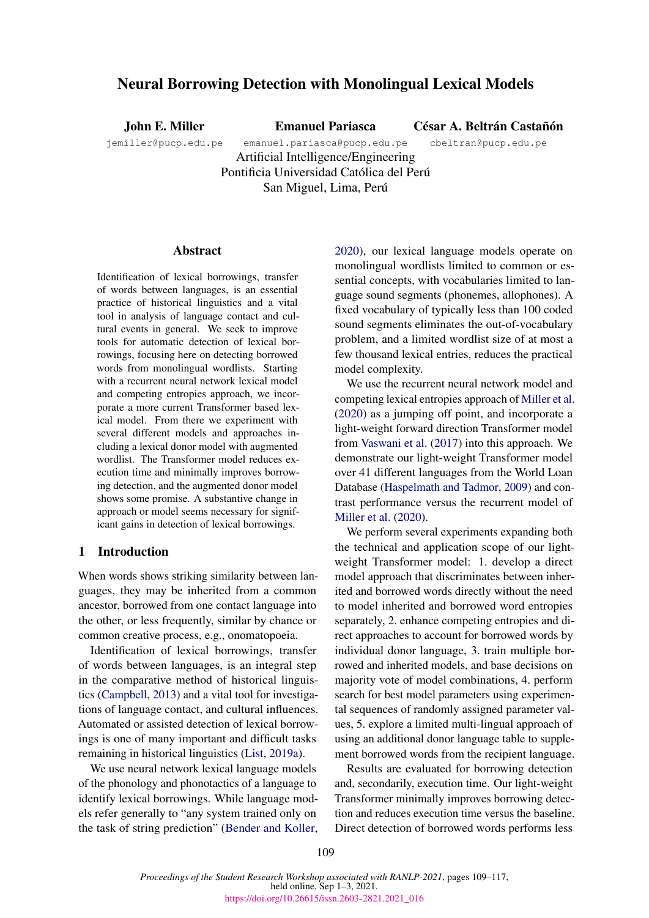# Neural Borrowing Detection with Monolingual Lexical Models

John E. Miller

Emanuel Pariasca

César A. Beltrán Castañón

jemiller@pucp.edu.pe

emanuel.pariasca@pucp.edu.pe Artificial Intelligence/Engineering Pontificia Universidad Católica del Perú San Miguel, Lima, Perú cbeltran@pucp.edu.pe

## **Abstract**

Identification of lexical borrowings, transfer of words between languages, is an essential practice of historical linguistics and a vital tool in analysis of language contact and cultural events in general. We seek to improve tools for automatic detection of lexical borrowings, focusing here on detecting borrowed words from monolingual wordlists. Starting with a recurrent neural network lexical model and competing entropies approach, we incorporate a more current Transformer based lexical model. From there we experiment with several different models and approaches including a lexical donor model with augmented wordlist. The Transformer model reduces execution time and minimally improves borrowing detection, and the augmented donor model shows some promise. A substantive change in approach or model seems necessary for significant gains in detection of lexical borrowings.

# 1 Introduction

When words shows striking similarity between languages, they may be inherited from a common ancestor, borrowed from one contact language into the other, or less frequently, similar by chance or common creative process, e.g., onomatopoeia.

Identification of lexical borrowings, transfer of words between languages, is an integral step in the comparative method of historical linguistics [\(Campbell,](#page-8-0) [2013\)](#page-8-0) and a vital tool for investigations of language contact, and cultural influences. Automated or assisted detection of lexical borrowings is one of many important and difficult tasks remaining in historical linguistics [\(List,](#page-8-1) [2019a\)](#page-8-1).

We use neural network lexical language models of the phonology and phonotactics of a language to identify lexical borrowings. While language models refer generally to "any system trained only on the task of string prediction" [\(Bender and Koller,](#page-8-2)

[2020\)](#page-8-2), our lexical language models operate on monolingual wordlists limited to common or essential concepts, with vocabularies limited to language sound segments (phonemes, allophones). A fixed vocabulary of typically less than 100 coded sound segments eliminates the out-of-vocabulary problem, and a limited wordlist size of at most a few thousand lexical entries, reduces the practical model complexity.

We use the recurrent neural network model and competing lexical entropies approach of [Miller et al.](#page-8-3) [\(2020\)](#page-8-3) as a jumping off point, and incorporate a light-weight forward direction Transformer model from [Vaswani et al.](#page-8-4) [\(2017\)](#page-8-4) into this approach. We demonstrate our light-weight Transformer model over 41 different languages from the World Loan Database [\(Haspelmath and Tadmor,](#page-8-5) [2009\)](#page-8-5) and contrast performance versus the recurrent model of [Miller et al.](#page-8-3) [\(2020\)](#page-8-3).

We perform several experiments expanding both the technical and application scope of our lightweight Transformer model: 1. develop a direct model approach that discriminates between inherited and borrowed words directly without the need to model inherited and borrowed word entropies separately, 2. enhance competing entropies and direct approaches to account for borrowed words by individual donor language, 3. train multiple borrowed and inherited models, and base decisions on majority vote of model combinations, 4. perform search for best model parameters using experimental sequences of randomly assigned parameter values, 5. explore a limited multi-lingual approach of using an additional donor language table to supplement borrowed words from the recipient language.

Results are evaluated for borrowing detection and, secondarily, execution time. Our light-weight Transformer minimally improves borrowing detection and reduces execution time versus the baseline. Direct detection of borrowed words performs less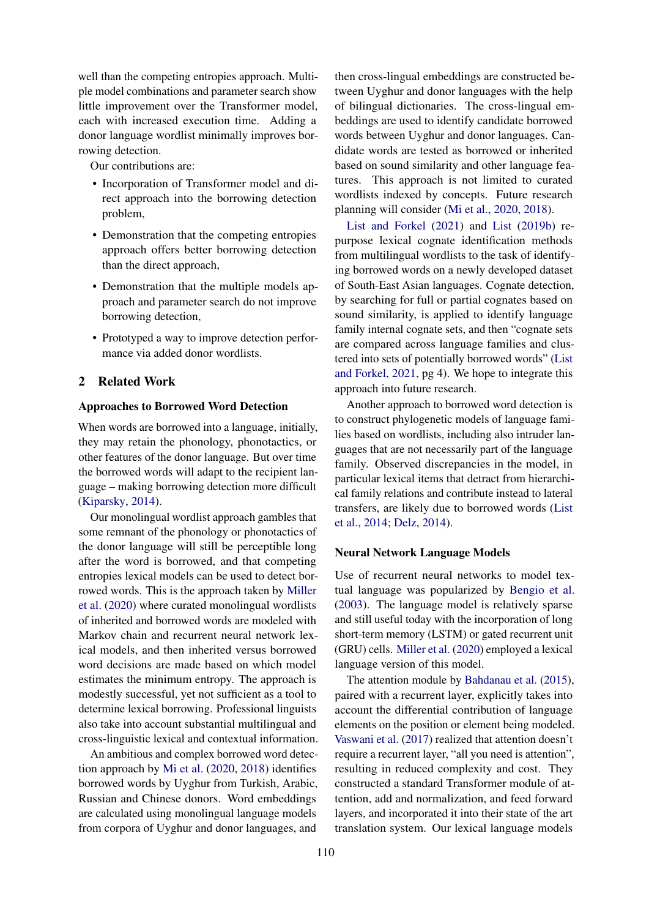well than the competing entropies approach. Multiple model combinations and parameter search show little improvement over the Transformer model, each with increased execution time. Adding a donor language wordlist minimally improves borrowing detection.

Our contributions are:

- Incorporation of Transformer model and direct approach into the borrowing detection problem,
- Demonstration that the competing entropies approach offers better borrowing detection than the direct approach,
- Demonstration that the multiple models approach and parameter search do not improve borrowing detection,
- Prototyped a way to improve detection performance via added donor wordlists.

# 2 Related Work

### Approaches to Borrowed Word Detection

When words are borrowed into a language, initially, they may retain the phonology, phonotactics, or other features of the donor language. But over time the borrowed words will adapt to the recipient language – making borrowing detection more difficult [\(Kiparsky,](#page-8-6) [2014\)](#page-8-6).

Our monolingual wordlist approach gambles that some remnant of the phonology or phonotactics of the donor language will still be perceptible long after the word is borrowed, and that competing entropies lexical models can be used to detect borrowed words. This is the approach taken by [Miller](#page-8-3) [et al.](#page-8-3) [\(2020\)](#page-8-3) where curated monolingual wordlists of inherited and borrowed words are modeled with Markov chain and recurrent neural network lexical models, and then inherited versus borrowed word decisions are made based on which model estimates the minimum entropy. The approach is modestly successful, yet not sufficient as a tool to determine lexical borrowing. Professional linguists also take into account substantial multilingual and cross-linguistic lexical and contextual information.

An ambitious and complex borrowed word detection approach by [Mi et al.](#page-8-7) [\(2020,](#page-8-7) [2018\)](#page-8-8) identifies borrowed words by Uyghur from Turkish, Arabic, Russian and Chinese donors. Word embeddings are calculated using monolingual language models from corpora of Uyghur and donor languages, and

then cross-lingual embeddings are constructed between Uyghur and donor languages with the help of bilingual dictionaries. The cross-lingual embeddings are used to identify candidate borrowed words between Uyghur and donor languages. Candidate words are tested as borrowed or inherited based on sound similarity and other language features. This approach is not limited to curated wordlists indexed by concepts. Future research planning will consider [\(Mi et al.,](#page-8-7) [2020,](#page-8-7) [2018\)](#page-8-8).

[List and Forkel](#page-8-9) [\(2021\)](#page-8-9) and [List](#page-8-10) [\(2019b\)](#page-8-10) repurpose lexical cognate identification methods from multilingual wordlists to the task of identifying borrowed words on a newly developed dataset of South-East Asian languages. Cognate detection, by searching for full or partial cognates based on sound similarity, is applied to identify language family internal cognate sets, and then "cognate sets are compared across language families and clustered into sets of potentially borrowed words" [\(List](#page-8-9) [and Forkel,](#page-8-9) [2021,](#page-8-9) pg 4). We hope to integrate this approach into future research.

Another approach to borrowed word detection is to construct phylogenetic models of language families based on wordlists, including also intruder languages that are not necessarily part of the language family. Observed discrepancies in the model, in particular lexical items that detract from hierarchical family relations and contribute instead to lateral transfers, are likely due to borrowed words [\(List](#page-8-11) [et al.,](#page-8-11) [2014;](#page-8-11) [Delz,](#page-8-12) [2014\)](#page-8-12).

### Neural Network Language Models

Use of recurrent neural networks to model textual language was popularized by [Bengio et al.](#page-8-13) [\(2003\)](#page-8-13). The language model is relatively sparse and still useful today with the incorporation of long short-term memory (LSTM) or gated recurrent unit (GRU) cells. [Miller et al.](#page-8-3) [\(2020\)](#page-8-3) employed a lexical language version of this model.

The attention module by [Bahdanau et al.](#page-8-14) [\(2015\)](#page-8-14), paired with a recurrent layer, explicitly takes into account the differential contribution of language elements on the position or element being modeled. [Vaswani et al.](#page-8-4) [\(2017\)](#page-8-4) realized that attention doesn't require a recurrent layer, "all you need is attention", resulting in reduced complexity and cost. They constructed a standard Transformer module of attention, add and normalization, and feed forward layers, and incorporated it into their state of the art translation system. Our lexical language models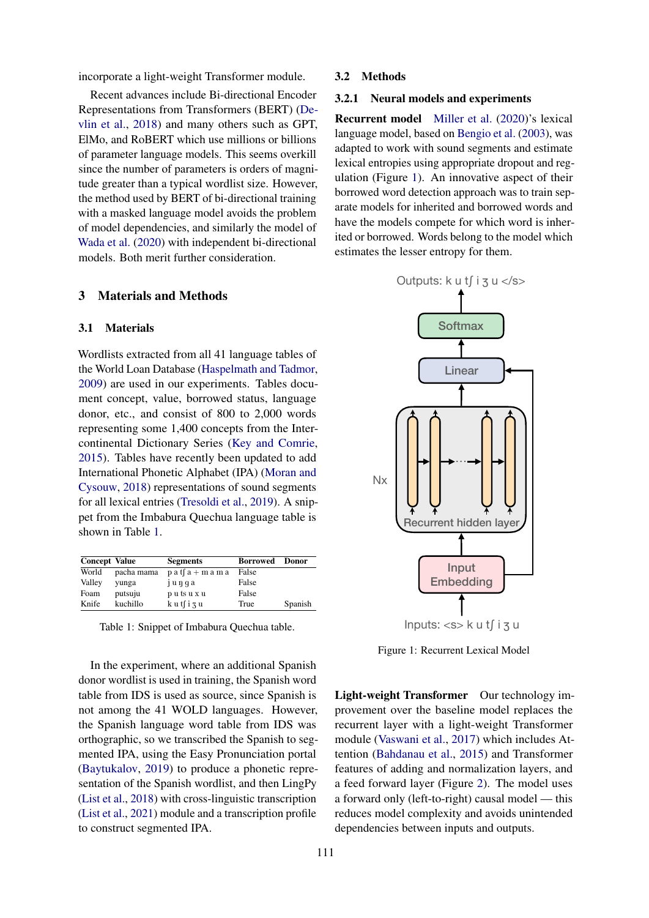incorporate a light-weight Transformer module.

Recent advances include Bi-directional Encoder Representations from Transformers (BERT) [\(De](#page-8-15)[vlin et al.,](#page-8-15) [2018\)](#page-8-15) and many others such as GPT, ElMo, and RoBERT which use millions or billions of parameter language models. This seems overkill since the number of parameters is orders of magnitude greater than a typical wordlist size. However, the method used by BERT of bi-directional training with a masked language model avoids the problem of model dependencies, and similarly the model of [Wada et al.](#page-8-16) [\(2020\)](#page-8-16) with independent bi-directional models. Both merit further consideration.

# 3 Materials and Methods

## <span id="page-2-2"></span>3.1 Materials

Wordlists extracted from all 41 language tables of the World Loan Database [\(Haspelmath and Tadmor,](#page-8-5) [2009\)](#page-8-5) are used in our experiments. Tables document concept, value, borrowed status, language donor, etc., and consist of 800 to 2,000 words representing some 1,400 concepts from the Intercontinental Dictionary Series [\(Key and Comrie,](#page-8-17) [2015\)](#page-8-17). Tables have recently been updated to add International Phonetic Alphabet (IPA) [\(Moran and](#page-8-18) [Cysouw,](#page-8-18) [2018\)](#page-8-18) representations of sound segments for all lexical entries [\(Tresoldi et al.,](#page-8-19) [2019\)](#page-8-19). A snippet from the Imbabura Quechua language table is shown in Table [1.](#page-2-0)

<span id="page-2-0"></span>

| <b>Concept Value</b> |            | <b>Segments</b>       | <b>Borrowed</b> | <b>Donor</b> |
|----------------------|------------|-----------------------|-----------------|--------------|
| World                | pacha mama | $p a t f a + m a m a$ | False           |              |
| Valley               | yunga      | junga                 | False           |              |
| Foam                 | putsuju    | putsuxu               | False           |              |
| Knife                | kuchillo   | kutfizu               | True            | Spanish      |

Table 1: Snippet of Imbabura Quechua table.

In the experiment, where an additional Spanish donor wordlist is used in training, the Spanish word table from IDS is used as source, since Spanish is not among the 41 WOLD languages. However, the Spanish language word table from IDS was orthographic, so we transcribed the Spanish to segmented IPA, using the Easy Pronunciation portal [\(Baytukalov,](#page-8-20) [2019\)](#page-8-20) to produce a phonetic representation of the Spanish wordlist, and then LingPy [\(List et al.,](#page-8-21) [2018\)](#page-8-21) with cross-linguistic transcription [\(List et al.,](#page-8-22) [2021\)](#page-8-22) module and a transcription profile to construct segmented IPA.

### 3.2 Methods

#### <span id="page-2-3"></span>3.2.1 Neural models and experiments

Recurrent model [Miller et al.](#page-8-3) [\(2020\)](#page-8-3)'s lexical language model, based on [Bengio et al.](#page-8-13) [\(2003\)](#page-8-13), was adapted to work with sound segments and estimate lexical entropies using appropriate dropout and regulation (Figure [1\)](#page-2-1). An innovative aspect of their borrowed word detection approach was to train separate models for inherited and borrowed words and have the models compete for which word is inherited or borrowed. Words belong to the model which estimates the lesser entropy for them.

<span id="page-2-1"></span>

Figure 1: Recurrent Lexical Model

Light-weight Transformer Our technology improvement over the baseline model replaces the recurrent layer with a light-weight Transformer module [\(Vaswani et al.,](#page-8-4) [2017\)](#page-8-4) which includes Attention [\(Bahdanau et al.,](#page-8-14) [2015\)](#page-8-14) and Transformer features of adding and normalization layers, and a feed forward layer (Figure [2\)](#page-3-0). The model uses a forward only (left-to-right) causal model — this reduces model complexity and avoids unintended dependencies between inputs and outputs.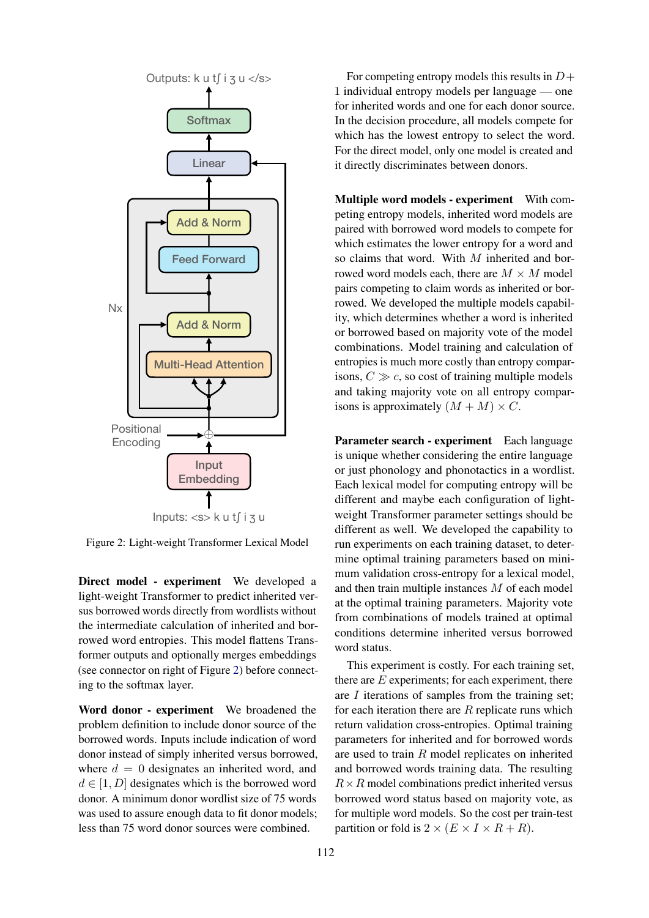<span id="page-3-0"></span>

Figure 2: Light-weight Transformer Lexical Model

Direct model - experiment We developed a light-weight Transformer to predict inherited versus borrowed words directly from wordlists without the intermediate calculation of inherited and borrowed word entropies. This model flattens Transformer outputs and optionally merges embeddings (see connector on right of Figure [2\)](#page-3-0) before connecting to the softmax layer.

Word donor - experiment We broadened the problem definition to include donor source of the borrowed words. Inputs include indication of word donor instead of simply inherited versus borrowed, where  $d = 0$  designates an inherited word, and  $d \in [1, D]$  designates which is the borrowed word donor. A minimum donor wordlist size of 75 words was used to assure enough data to fit donor models; less than 75 word donor sources were combined.

For competing entropy models this results in  $D+$ 1 individual entropy models per language — one for inherited words and one for each donor source. In the decision procedure, all models compete for which has the lowest entropy to select the word. For the direct model, only one model is created and it directly discriminates between donors.

Multiple word models - experiment With competing entropy models, inherited word models are paired with borrowed word models to compete for which estimates the lower entropy for a word and so claims that word. With M inherited and borrowed word models each, there are  $M \times M$  model pairs competing to claim words as inherited or borrowed. We developed the multiple models capability, which determines whether a word is inherited or borrowed based on majority vote of the model combinations. Model training and calculation of entropies is much more costly than entropy comparisons,  $C \gg c$ , so cost of training multiple models and taking majority vote on all entropy comparisons is approximately  $(M + M) \times C$ .

Parameter search - experiment Each language is unique whether considering the entire language or just phonology and phonotactics in a wordlist. Each lexical model for computing entropy will be different and maybe each configuration of lightweight Transformer parameter settings should be different as well. We developed the capability to run experiments on each training dataset, to determine optimal training parameters based on minimum validation cross-entropy for a lexical model, and then train multiple instances M of each model at the optimal training parameters. Majority vote from combinations of models trained at optimal conditions determine inherited versus borrowed word status.

This experiment is costly. For each training set, there are  $E$  experiments; for each experiment, there are I iterations of samples from the training set; for each iteration there are  $R$  replicate runs which return validation cross-entropies. Optimal training parameters for inherited and for borrowed words are used to train R model replicates on inherited and borrowed words training data. The resulting  $R \times R$  model combinations predict inherited versus borrowed word status based on majority vote, as for multiple word models. So the cost per train-test partition or fold is  $2 \times (E \times I \times R + R)$ .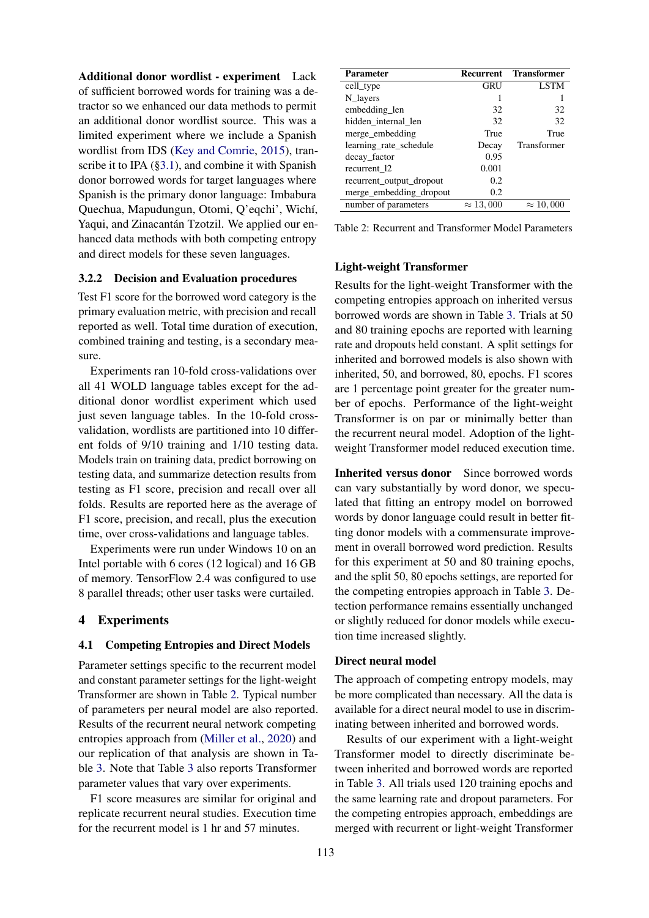Additional donor wordlist - experiment Lack of sufficient borrowed words for training was a detractor so we enhanced our data methods to permit an additional donor wordlist source. This was a limited experiment where we include a Spanish wordlist from IDS [\(Key and Comrie,](#page-8-17) [2015\)](#page-8-17), tran-scribe it to IPA ([§3.1\)](#page-2-2), and combine it with Spanish donor borrowed words for target languages where Spanish is the primary donor language: Imbabura Quechua, Mapudungun, Otomi, Q'eqchi', Wichí, Yaqui, and Zinacantán Tzotzil. We applied our enhanced data methods with both competing entropy and direct models for these seven languages.

### 3.2.2 Decision and Evaluation procedures

Test F1 score for the borrowed word category is the primary evaluation metric, with precision and recall reported as well. Total time duration of execution, combined training and testing, is a secondary measure.

Experiments ran 10-fold cross-validations over all 41 WOLD language tables except for the additional donor wordlist experiment which used just seven language tables. In the 10-fold crossvalidation, wordlists are partitioned into 10 different folds of 9/10 training and 1/10 testing data. Models train on training data, predict borrowing on testing data, and summarize detection results from testing as F1 score, precision and recall over all folds. Results are reported here as the average of F1 score, precision, and recall, plus the execution time, over cross-validations and language tables.

Experiments were run under Windows 10 on an Intel portable with 6 cores (12 logical) and 16 GB of memory. TensorFlow 2.4 was configured to use 8 parallel threads; other user tasks were curtailed.

### 4 Experiments

#### 4.1 Competing Entropies and Direct Models

Parameter settings specific to the recurrent model and constant parameter settings for the light-weight Transformer are shown in Table [2.](#page-4-0) Typical number of parameters per neural model are also reported. Results of the recurrent neural network competing entropies approach from [\(Miller et al.,](#page-8-3) [2020\)](#page-8-3) and our replication of that analysis are shown in Table [3.](#page-6-0) Note that Table [3](#page-6-0) also reports Transformer parameter values that vary over experiments.

F1 score measures are similar for original and replicate recurrent neural studies. Execution time for the recurrent model is 1 hr and 57 minutes.

<span id="page-4-0"></span>

| Recurrent        | <b>Transformer</b> |
|------------------|--------------------|
| GRU              | <b>LSTM</b>        |
|                  |                    |
| 32               | 32                 |
| 32               | 32                 |
| True             | True               |
| Decay            | Transformer        |
| 0.95             |                    |
| 0.001            |                    |
| 0.2              |                    |
| 0.2              |                    |
| $\approx 13,000$ | $\approx 10,000$   |
|                  |                    |

Table 2: Recurrent and Transformer Model Parameters

## Light-weight Transformer

Results for the light-weight Transformer with the competing entropies approach on inherited versus borrowed words are shown in Table [3.](#page-6-0) Trials at 50 and 80 training epochs are reported with learning rate and dropouts held constant. A split settings for inherited and borrowed models is also shown with inherited, 50, and borrowed, 80, epochs. F1 scores are 1 percentage point greater for the greater number of epochs. Performance of the light-weight Transformer is on par or minimally better than the recurrent neural model. Adoption of the lightweight Transformer model reduced execution time.

Inherited versus donor Since borrowed words can vary substantially by word donor, we speculated that fitting an entropy model on borrowed words by donor language could result in better fitting donor models with a commensurate improvement in overall borrowed word prediction. Results for this experiment at 50 and 80 training epochs, and the split 50, 80 epochs settings, are reported for the competing entropies approach in Table [3.](#page-6-0) Detection performance remains essentially unchanged or slightly reduced for donor models while execution time increased slightly.

## Direct neural model

The approach of competing entropy models, may be more complicated than necessary. All the data is available for a direct neural model to use in discriminating between inherited and borrowed words.

Results of our experiment with a light-weight Transformer model to directly discriminate between inherited and borrowed words are reported in Table [3.](#page-6-0) All trials used 120 training epochs and the same learning rate and dropout parameters. For the competing entropies approach, embeddings are merged with recurrent or light-weight Transformer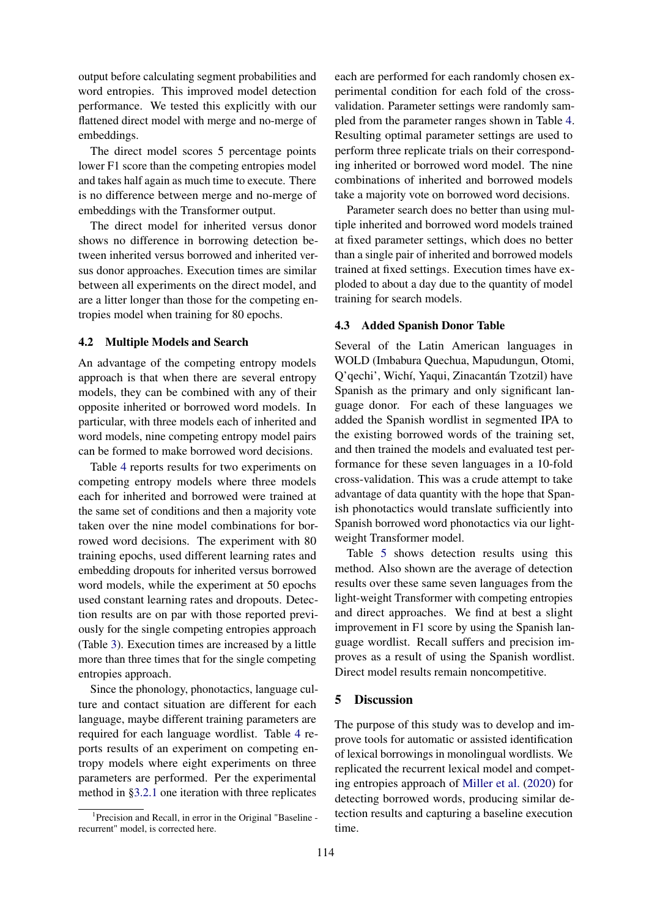output before calculating segment probabilities and word entropies. This improved model detection performance. We tested this explicitly with our flattened direct model with merge and no-merge of embeddings.

The direct model scores 5 percentage points lower F1 score than the competing entropies model and takes half again as much time to execute. There is no difference between merge and no-merge of embeddings with the Transformer output.

The direct model for inherited versus donor shows no difference in borrowing detection between inherited versus borrowed and inherited versus donor approaches. Execution times are similar between all experiments on the direct model, and are a litter longer than those for the competing entropies model when training for 80 epochs.

## 4.2 Multiple Models and Search

An advantage of the competing entropy models approach is that when there are several entropy models, they can be combined with any of their opposite inherited or borrowed word models. In particular, with three models each of inherited and word models, nine competing entropy model pairs can be formed to make borrowed word decisions.

Table [4](#page-6-1) reports results for two experiments on competing entropy models where three models each for inherited and borrowed were trained at the same set of conditions and then a majority vote taken over the nine model combinations for borrowed word decisions. The experiment with 80 training epochs, used different learning rates and embedding dropouts for inherited versus borrowed word models, while the experiment at 50 epochs used constant learning rates and dropouts. Detection results are on par with those reported previously for the single competing entropies approach (Table [3\)](#page-6-0). Execution times are increased by a little more than three times that for the single competing entropies approach.

Since the phonology, phonotactics, language culture and contact situation are different for each language, maybe different training parameters are required for each language wordlist. Table [4](#page-6-1) reports results of an experiment on competing entropy models where eight experiments on three parameters are performed. Per the experimental method in [§3.2.1](#page-2-3) one iteration with three replicates

<span id="page-5-0"></span><sup>1</sup> Precision and Recall, in error in the Original "Baseline recurrent" model, is corrected here.

each are performed for each randomly chosen experimental condition for each fold of the crossvalidation. Parameter settings were randomly sampled from the parameter ranges shown in Table [4.](#page-6-1) Resulting optimal parameter settings are used to perform three replicate trials on their corresponding inherited or borrowed word model. The nine combinations of inherited and borrowed models take a majority vote on borrowed word decisions.

Parameter search does no better than using multiple inherited and borrowed word models trained at fixed parameter settings, which does no better than a single pair of inherited and borrowed models trained at fixed settings. Execution times have exploded to about a day due to the quantity of model training for search models.

### 4.3 Added Spanish Donor Table

Several of the Latin American languages in WOLD (Imbabura Quechua, Mapudungun, Otomi, Q'qechi', Wichí, Yaqui, Zinacantán Tzotzil) have Spanish as the primary and only significant language donor. For each of these languages we added the Spanish wordlist in segmented IPA to the existing borrowed words of the training set, and then trained the models and evaluated test performance for these seven languages in a 10-fold cross-validation. This was a crude attempt to take advantage of data quantity with the hope that Spanish phonotactics would translate sufficiently into Spanish borrowed word phonotactics via our lightweight Transformer model.

Table [5](#page-7-0) shows detection results using this method. Also shown are the average of detection results over these same seven languages from the light-weight Transformer with competing entropies and direct approaches. We find at best a slight improvement in F1 score by using the Spanish language wordlist. Recall suffers and precision improves as a result of using the Spanish wordlist. Direct model results remain noncompetitive.

# 5 Discussion

The purpose of this study was to develop and improve tools for automatic or assisted identification of lexical borrowings in monolingual wordlists. We replicated the recurrent lexical model and competing entropies approach of [Miller et al.](#page-8-3) [\(2020\)](#page-8-3) for detecting borrowed words, producing similar detection results and capturing a baseline execution time.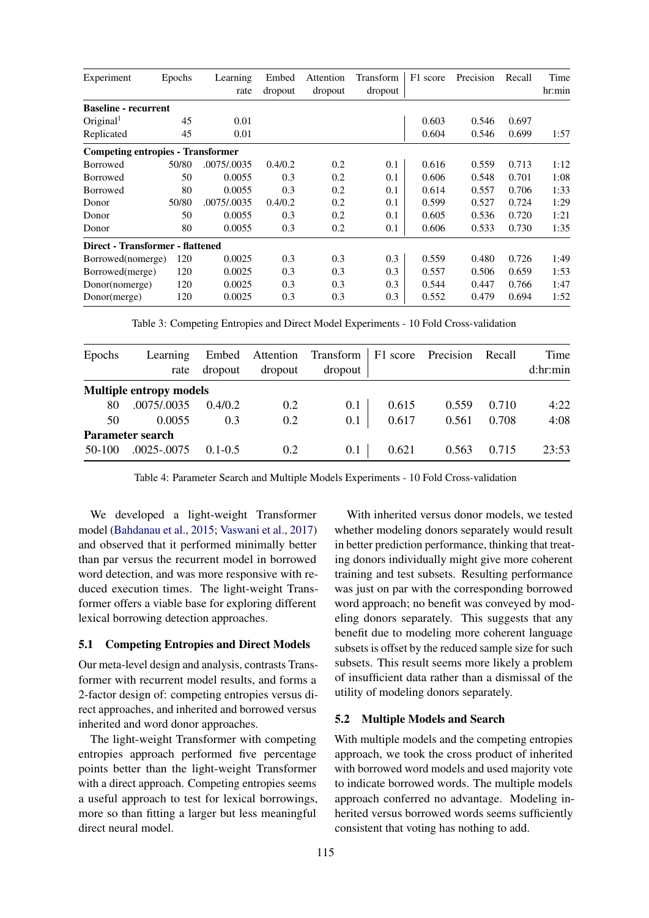<span id="page-6-0"></span>

| Experiment                               | Epochs | Learning    | Embed   | Attention | Transform | F1 score | Precision | Recall | Time   |
|------------------------------------------|--------|-------------|---------|-----------|-----------|----------|-----------|--------|--------|
|                                          |        | rate        | dropout | dropout   | dropout   |          |           |        | hr:min |
| <b>Baseline - recurrent</b>              |        |             |         |           |           |          |           |        |        |
| Original <sup>1</sup>                    | 45     | 0.01        |         |           |           | 0.603    | 0.546     | 0.697  |        |
| Replicated                               | 45     | 0.01        |         |           |           | 0.604    | 0.546     | 0.699  | 1:57   |
| <b>Competing entropies - Transformer</b> |        |             |         |           |           |          |           |        |        |
| Borrowed                                 | 50/80  | .0075/.0035 | 0.4/0.2 | 0.2       | 0.1       | 0.616    | 0.559     | 0.713  | 1:12   |
| Borrowed                                 | 50     | 0.0055      | 0.3     | 0.2       | 0.1       | 0.606    | 0.548     | 0.701  | 1:08   |
| Borrowed                                 | 80     | 0.0055      | 0.3     | 0.2       | 0.1       | 0.614    | 0.557     | 0.706  | 1:33   |
| Donor                                    | 50/80  | .0075/.0035 | 0.4/0.2 | 0.2       | 0.1       | 0.599    | 0.527     | 0.724  | 1:29   |
| Donor                                    | 50     | 0.0055      | 0.3     | 0.2       | 0.1       | 0.605    | 0.536     | 0.720  | 1:21   |
| Donor                                    | 80     | 0.0055      | 0.3     | 0.2       | 0.1       | 0.606    | 0.533     | 0.730  | 1:35   |
| Direct - Transformer - flattened         |        |             |         |           |           |          |           |        |        |
| Borrowed(nomerge)                        | 120    | 0.0025      | 0.3     | 0.3       | 0.3       | 0.559    | 0.480     | 0.726  | 1:49   |
| Borrowed(merge)                          | 120    | 0.0025      | 0.3     | 0.3       | 0.3       | 0.557    | 0.506     | 0.659  | 1:53   |
| Donor(nomerge)                           | 120    | 0.0025      | 0.3     | 0.3       | 0.3       | 0.544    | 0.447     | 0.766  | 1:47   |
| Donor(merge)                             | 120    | 0.0025      | 0.3     | 0.3       | 0.3       | 0.552    | 0.479     | 0.694  | 1:52   |

Table 3: Competing Entropies and Direct Model Experiments - 10 Fold Cross-validation

<span id="page-6-1"></span>

| Epochs           | Learning<br>rate               | dropout     | dropout | Embed Attention Transform<br>dropout |       | F1 score Precision | Recall | Time<br>d:hr:min |  |
|------------------|--------------------------------|-------------|---------|--------------------------------------|-------|--------------------|--------|------------------|--|
|                  | <b>Multiple entropy models</b> |             |         |                                      |       |                    |        |                  |  |
| 80               | .0075/.0035                    | 0.4/0.2     | 0.2     | 0.1                                  | 0.615 | 0.559              | 0.710  | 4:22             |  |
| 50               | 0.0055                         | 0.3         | 0.2     | 0.1                                  | 0.617 | 0.561              | 0.708  | 4:08             |  |
| Parameter search |                                |             |         |                                      |       |                    |        |                  |  |
| $50-100$         | .0025-.0075                    | $0.1 - 0.5$ | 0.2     | 0.1                                  | 0.621 | 0.563              | 0.715  | 23:53            |  |

Table 4: Parameter Search and Multiple Models Experiments - 10 Fold Cross-validation

We developed a light-weight Transformer model [\(Bahdanau et al.,](#page-8-14) [2015;](#page-8-14) [Vaswani et al.,](#page-8-4) [2017\)](#page-8-4) and observed that it performed minimally better than par versus the recurrent model in borrowed word detection, and was more responsive with reduced execution times. The light-weight Transformer offers a viable base for exploring different lexical borrowing detection approaches.

### 5.1 Competing Entropies and Direct Models

Our meta-level design and analysis, contrasts Transformer with recurrent model results, and forms a 2-factor design of: competing entropies versus direct approaches, and inherited and borrowed versus inherited and word donor approaches.

The light-weight Transformer with competing entropies approach performed five percentage points better than the light-weight Transformer with a direct approach. Competing entropies seems a useful approach to test for lexical borrowings, more so than fitting a larger but less meaningful direct neural model.

With inherited versus donor models, we tested whether modeling donors separately would result in better prediction performance, thinking that treating donors individually might give more coherent training and test subsets. Resulting performance was just on par with the corresponding borrowed word approach; no benefit was conveyed by modeling donors separately. This suggests that any benefit due to modeling more coherent language subsets is offset by the reduced sample size for such subsets. This result seems more likely a problem of insufficient data rather than a dismissal of the utility of modeling donors separately.

### 5.2 Multiple Models and Search

With multiple models and the competing entropies approach, we took the cross product of inherited with borrowed word models and used majority vote to indicate borrowed words. The multiple models approach conferred no advantage. Modeling inherited versus borrowed words seems sufficiently consistent that voting has nothing to add.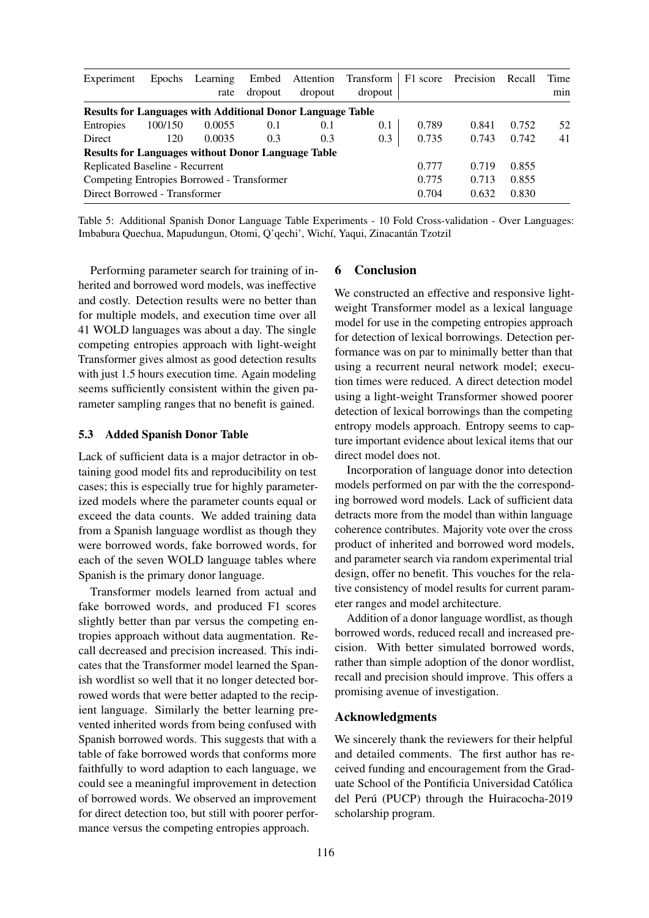<span id="page-7-0"></span>

| Experiment                                                        | <b>Epochs</b> | Learning<br>rate | Embed<br>dropout | Attention<br>dropout | Transform<br>dropout |       | F1 score Precision | Recall | Time<br>min |
|-------------------------------------------------------------------|---------------|------------------|------------------|----------------------|----------------------|-------|--------------------|--------|-------------|
| <b>Results for Languages with Additional Donor Language Table</b> |               |                  |                  |                      |                      |       |                    |        |             |
| <b>Entropies</b>                                                  | 100/150       | 0.0055           | 0.1              | 0.1                  | 0.1                  | 0.789 | 0.841              | 0.752  | 52          |
| Direct                                                            | 120           | 0.0035           | 0.3              | 0.3                  | 0.3                  | 0.735 | 0.743              | 0.742  | 41          |
| <b>Results for Languages without Donor Language Table</b>         |               |                  |                  |                      |                      |       |                    |        |             |
| Replicated Baseline - Recurrent                                   |               |                  |                  |                      |                      | 0.777 | 0.719              | 0.855  |             |
| Competing Entropies Borrowed - Transformer                        |               |                  |                  |                      |                      | 0.775 | 0.713              | 0.855  |             |
| Direct Borrowed - Transformer                                     |               |                  |                  |                      |                      | 0.704 | 0.632              | 0.830  |             |

Table 5: Additional Spanish Donor Language Table Experiments - 10 Fold Cross-validation - Over Languages: Imbabura Quechua, Mapudungun, Otomi, Q'qechi', Wichí, Yaqui, Zinacantán Tzotzil

Performing parameter search for training of inherited and borrowed word models, was ineffective and costly. Detection results were no better than for multiple models, and execution time over all 41 WOLD languages was about a day. The single competing entropies approach with light-weight Transformer gives almost as good detection results with just 1.5 hours execution time. Again modeling seems sufficiently consistent within the given parameter sampling ranges that no benefit is gained.

## 5.3 Added Spanish Donor Table

Lack of sufficient data is a major detractor in obtaining good model fits and reproducibility on test cases; this is especially true for highly parameterized models where the parameter counts equal or exceed the data counts. We added training data from a Spanish language wordlist as though they were borrowed words, fake borrowed words, for each of the seven WOLD language tables where Spanish is the primary donor language.

Transformer models learned from actual and fake borrowed words, and produced F1 scores slightly better than par versus the competing entropies approach without data augmentation. Recall decreased and precision increased. This indicates that the Transformer model learned the Spanish wordlist so well that it no longer detected borrowed words that were better adapted to the recipient language. Similarly the better learning prevented inherited words from being confused with Spanish borrowed words. This suggests that with a table of fake borrowed words that conforms more faithfully to word adaption to each language, we could see a meaningful improvement in detection of borrowed words. We observed an improvement for direct detection too, but still with poorer performance versus the competing entropies approach.

# 6 Conclusion

We constructed an effective and responsive lightweight Transformer model as a lexical language model for use in the competing entropies approach for detection of lexical borrowings. Detection performance was on par to minimally better than that using a recurrent neural network model; execution times were reduced. A direct detection model using a light-weight Transformer showed poorer detection of lexical borrowings than the competing entropy models approach. Entropy seems to capture important evidence about lexical items that our direct model does not.

Incorporation of language donor into detection models performed on par with the the corresponding borrowed word models. Lack of sufficient data detracts more from the model than within language coherence contributes. Majority vote over the cross product of inherited and borrowed word models, and parameter search via random experimental trial design, offer no benefit. This vouches for the relative consistency of model results for current parameter ranges and model architecture.

Addition of a donor language wordlist, as though borrowed words, reduced recall and increased precision. With better simulated borrowed words, rather than simple adoption of the donor wordlist, recall and precision should improve. This offers a promising avenue of investigation.

## Acknowledgments

We sincerely thank the reviewers for their helpful and detailed comments. The first author has received funding and encouragement from the Graduate School of the Pontificia Universidad Católica del Perú (PUCP) through the Huiracocha-2019 scholarship program.